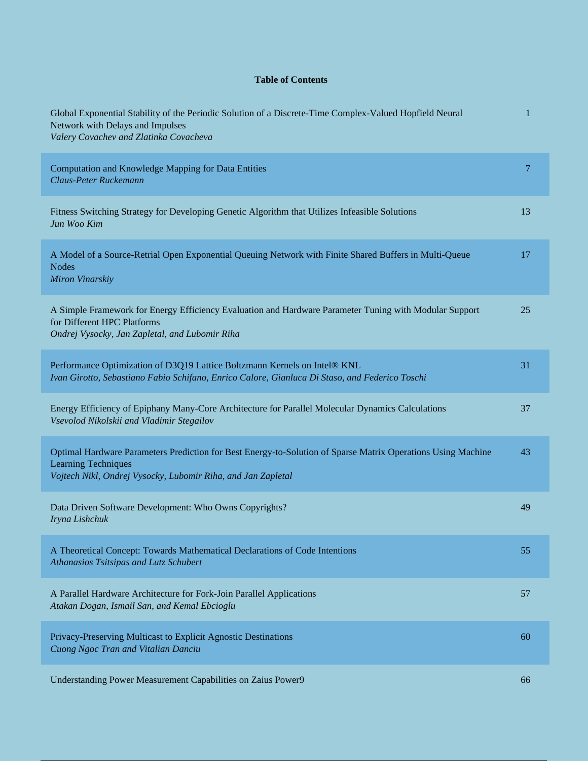## **Table of Contents**

| Global Exponential Stability of the Periodic Solution of a Discrete-Time Complex-Valued Hopfield Neural<br>Network with Delays and Impulses<br>Valery Covachev and Zlatinka Covacheva                      | $\mathbf{1}$   |
|------------------------------------------------------------------------------------------------------------------------------------------------------------------------------------------------------------|----------------|
| Computation and Knowledge Mapping for Data Entities<br>Claus-Peter Ruckemann                                                                                                                               | $\overline{7}$ |
| Fitness Switching Strategy for Developing Genetic Algorithm that Utilizes Infeasible Solutions<br>Jun Woo Kim                                                                                              | 13             |
| A Model of a Source-Retrial Open Exponential Queuing Network with Finite Shared Buffers in Multi-Queue<br><b>Nodes</b><br>Miron Vinarskiy                                                                  | 17             |
| A Simple Framework for Energy Efficiency Evaluation and Hardware Parameter Tuning with Modular Support<br>for Different HPC Platforms<br>Ondrej Vysocky, Jan Zapletal, and Lubomir Riha                    | 25             |
| Performance Optimization of D3Q19 Lattice Boltzmann Kernels on Intel® KNL<br>Ivan Girotto, Sebastiano Fabio Schifano, Enrico Calore, Gianluca Di Staso, and Federico Toschi                                | 31             |
| Energy Efficiency of Epiphany Many-Core Architecture for Parallel Molecular Dynamics Calculations<br>Vsevolod Nikolskii and Vladimir Stegailov                                                             | 37             |
| Optimal Hardware Parameters Prediction for Best Energy-to-Solution of Sparse Matrix Operations Using Machine<br><b>Learning Techniques</b><br>Vojtech Nikl, Ondrej Vysocky, Lubomir Riha, and Jan Zapletal | 43             |
| Data Driven Software Development: Who Owns Copyrights?<br>Iryna Lishchuk                                                                                                                                   | 49             |
| A Theoretical Concept: Towards Mathematical Declarations of Code Intentions<br>Athanasios Tsitsipas and Lutz Schubert                                                                                      | 55             |
| A Parallel Hardware Architecture for Fork-Join Parallel Applications<br>Atakan Dogan, Ismail San, and Kemal Ebcioglu                                                                                       | 57             |
| Privacy-Preserving Multicast to Explicit Agnostic Destinations<br>Cuong Ngoc Tran and Vitalian Danciu                                                                                                      | 60             |
| Understanding Power Measurement Capabilities on Zaius Power9                                                                                                                                               | 66             |